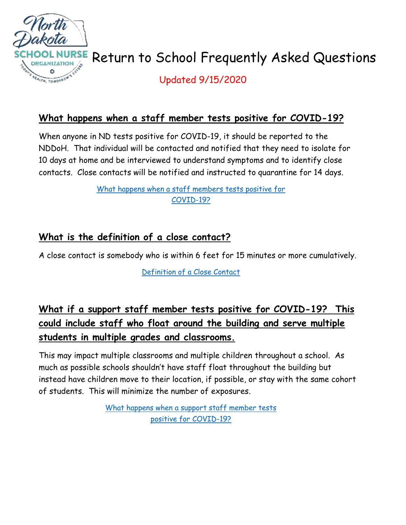

# Return to School Frequently Asked Questions

Updated 9/15/2020

### **What happens when a staff member tests positive for COVID-19?**

When anyone in ND tests positive for COVID-19, it should be reported to the NDDoH. That individual will be contacted and notified that they need to isolate for 10 days at home and be interviewed to understand symptoms and to identify close contacts. Close contacts will be notified and instructed to quarantine for 14 days.

> [What happens when a staff members tests positive for](https://www.youtube.com/watch?v=QVAh-31xBSg)  [COVID-19?](https://www.youtube.com/watch?v=QVAh-31xBSg)

### **What is the definition of a close contact?**

A close contact is somebody who is within 6 feet for 15 minutes or more cumulatively.

[Definition of a Close Contact](https://www.youtube.com/watch?v=0O_twhvmrWU)

# **What if a support staff member tests positive for COVID-19? This could include staff who float around the building and serve multiple students in multiple grades and classrooms.**

This may impact multiple classrooms and multiple children throughout a school. As much as possible schools shouldn't have staff float throughout the building but instead have children move to their location, if possible, or stay with the same cohort of students. This will minimize the number of exposures.

> [What happens when a support staff member tests](https://www.youtube.com/watch?v=HRA4LCVLPa8)  [positive for COVID-19?](https://www.youtube.com/watch?v=HRA4LCVLPa8)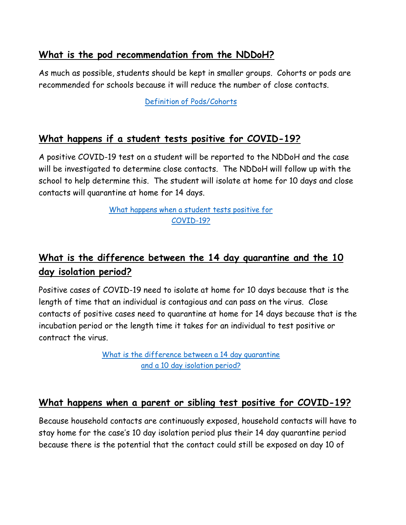### **What is the pod recommendation from the NDDoH?**

As much as possible, students should be kept in smaller groups. Cohorts or pods are recommended for schools because it will reduce the number of close contacts.

[Definition of Pods/Cohorts](https://www.youtube.com/watch?v=Z6EiAhg55NM)

### **What happens if a student tests positive for COVID-19?**

A positive COVID-19 test on a student will be reported to the NDDoH and the case will be investigated to determine close contacts. The NDDoH will follow up with the school to help determine this. The student will isolate at home for 10 days and close contacts will quarantine at home for 14 days.

> [What happens when a student tests positive for](https://www.youtube.com/watch?v=hXyrTWj2VhE)  [COVID-19?](https://www.youtube.com/watch?v=hXyrTWj2VhE)

# **What is the difference between the 14 day quarantine and the 10 day isolation period?**

Positive cases of COVID-19 need to isolate at home for 10 days because that is the length of time that an individual is contagious and can pass on the virus. Close contacts of positive cases need to quarantine at home for 14 days because that is the incubation period or the length time it takes for an individual to test positive or contract the virus.

> [What is the difference between a 14 day quarantine](https://www.youtube.com/watch?v=LIXKJOJ8uQU)  [and a 10 day isolation period?](https://www.youtube.com/watch?v=LIXKJOJ8uQU)

#### **What happens when a parent or sibling test positive for COVID-19?**

Because household contacts are continuously exposed, household contacts will have to stay home for the case's 10 day isolation period plus their 14 day quarantine period because there is the potential that the contact could still be exposed on day 10 of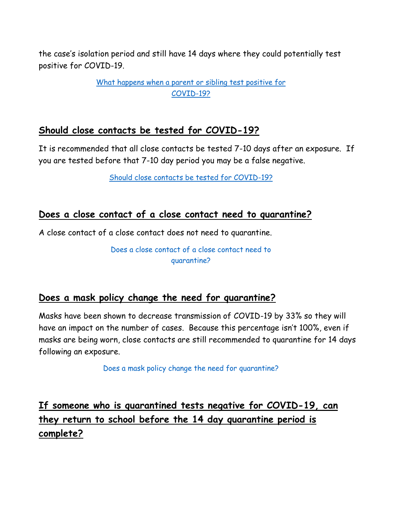the case's isolation period and still have 14 days where they could potentially test positive for COVID-19.

> [What happens when a parent or sibling test positive for](https://www.youtube.com/watch?v=D932UoIMBQ8)  [COVID-19?](https://www.youtube.com/watch?v=D932UoIMBQ8)

#### **Should close contacts be tested for COVID-19?**

It is recommended that all close contacts be tested 7-10 days after an exposure. If you are tested before that 7-10 day period you may be a false negative.

[Should close contacts be tested for COVID-19?](https://www.youtube.com/watch?v=_v2g5wJ7oOs)

#### **Does a close contact of a close contact need to quarantine?**

A close contact of a close contact does not need to quarantine.

Does a close contact of [a close contact need to](https://www.youtube.com/watch?v=lnd-Qr-NmYA)  [quarantine?](https://www.youtube.com/watch?v=lnd-Qr-NmYA)

#### **Does a mask policy change the need for quarantine?**

Masks have been shown to decrease transmission of COVID-19 by 33% so they will have an impact on the number of cases. Because this percentage isn't 100%, even if masks are being worn, close contacts are still recommended to quarantine for 14 days following an exposure.

[Does a mask policy change the need for quarantine?](https://www.youtube.com/watch?v=q8Z8a2piW-0)

**If someone who is quarantined tests negative for COVID-19, can they return to school before the 14 day quarantine period is complete?**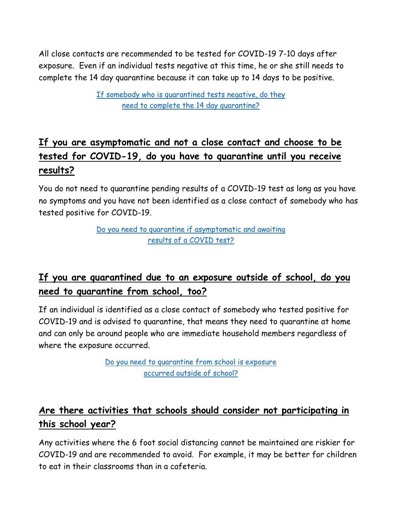All close contacts are recommended to be tested for COVID-19 7-10 days after exposure. Even if an individual tests negative at this time, he or she still needs to complete the 14 day quarantine because it can take up to 14 days to be positive.

> [If somebody who is quarantined tests negative, do they](https://www.youtube.com/watch?v=d3msiI5C9SE)  [need to complete the 14 day quarantine?](https://www.youtube.com/watch?v=d3msiI5C9SE)

# **If you are asymptomatic and not a close contact and choose to be tested for COVID-19, do you have to quarantine until you receive results?**

You do not need to quarantine pending results of a COVID-19 test as long as you have no symptoms and you have not been identified as a close contact of somebody who has tested positive for COVID-19.

> [Do you need to quarantine if asymptomatic and awaiting](https://youtu.be/2Re5wmBCbew)  [results of a COVID test?](https://youtu.be/2Re5wmBCbew)

# **If you are quarantined due to an exposure outside of school, do you need to quarantine from school, too?**

If an individual is identified as a close contact of somebody who tested positive for COVID-19 and is advised to quarantine, that means they need to quarantine at home and can only be around people who are immediate household members regardless of where the exposure occurred.

> [Do you need to quarantine from school is exposure](https://youtu.be/ZUXXk1Rzax8)  [occurred outside of school?](https://youtu.be/ZUXXk1Rzax8)

# **Are there activities that schools should consider not participating in this school year?**

Any activities where the 6 foot social distancing cannot be maintained are riskier for COVID-19 and are recommended to avoid. For example, it may be better for children to eat in their classrooms than in a cafeteria.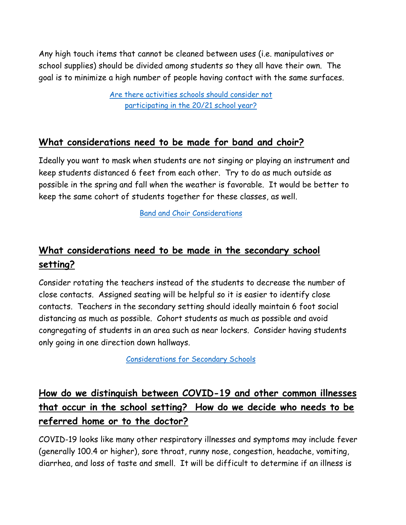Any high touch items that cannot be cleaned between uses (i.e. manipulatives or school supplies) should be divided among students so they all have their own. The goal is to minimize a high number of people having contact with the same surfaces.

> [Are there activities schools should consider not](https://www.youtube.com/watch?v=TVhQwOMjwc0)  [participating in the 20/21 school year?](https://www.youtube.com/watch?v=TVhQwOMjwc0)

#### **What considerations need to be made for band and choir?**

Ideally you want to mask when students are not singing or playing an instrument and keep students distanced 6 feet from each other. Try to do as much outside as possible in the spring and fall when the weather is favorable. It would be better to keep the same cohort of students together for these classes, as well.

[Band and Choir Considerations](https://www.youtube.com/watch?v=uvx4ni97PT4)

# **What considerations need to be made in the secondary school setting?**

Consider rotating the teachers instead of the students to decrease the number of close contacts. Assigned seating will be helpful so it is easier to identify close contacts. Teachers in the secondary setting should ideally maintain 6 foot social distancing as much as possible. Cohort students as much as possible and avoid congregating of students in an area such as near lockers. Consider having students only going in one direction down hallways.

[Considerations for Secondary Schools](https://www.youtube.com/watch?v=Urk_czH5OyA)

# **How do we distinguish between COVID-19 and other common illnesses that occur in the school setting? How do we decide who needs to be referred home or to the doctor?**

COVID-19 looks like many other respiratory illnesses and symptoms may include fever (generally 100.4 or higher), sore throat, runny nose, congestion, headache, vomiting, diarrhea, and loss of taste and smell. It will be difficult to determine if an illness is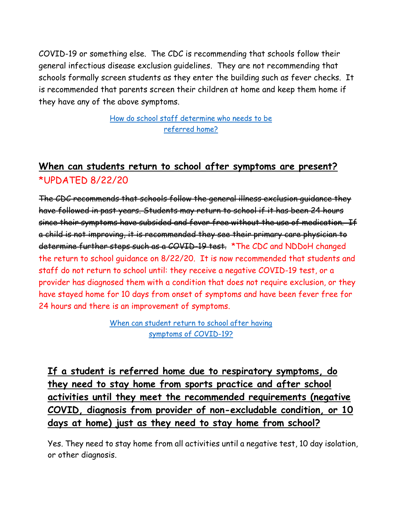COVID-19 or something else. The CDC is recommending that schools follow their general infectious disease exclusion guidelines. They are not recommending that schools formally screen students as they enter the building such as fever checks. It is recommended that parents screen their children at home and keep them home if they have any of the above symptoms.

> [How do school staff determine who needs to be](https://www.youtube.com/watch?v=j0l4fK7-xH8)  [referred home?](https://www.youtube.com/watch?v=j0l4fK7-xH8)

### **When can students return to school after symptoms are present?** \*UPDATED 8/22/20

The CDC recommends that schools follow the general illness exclusion guidance they have followed in past years. Students may return to school if it has been 24 hours since their symptoms have subsided and fever free without the use of medication. If a child is not improving, it is recommended they see their primary care physician to determine further steps such as a COVID-19 test. \* The CDC and NDDoH changed the return to school guidance on 8/22/20. It is now recommended that students and staff do not return to school until: they receive a negative COVID-19 test, or a provider has diagnosed them with a condition that does not require exclusion, or they have stayed home for 10 days from onset of symptoms and have been fever free for 24 hours and there is an improvement of symptoms.

> When can student return to school after having [symptoms of COVID-19?](https://www.youtube.com/watch?v=H2PnAZjm5l0)

**If a student is referred home due to respiratory symptoms, do they need to stay home from sports practice and after school activities until they meet the recommended requirements (negative COVID, diagnosis from provider of non-excludable condition, or 10 days at home) just as they need to stay home from school?**

Yes. They need to stay home from all activities until a negative test, 10 day isolation, or other diagnosis.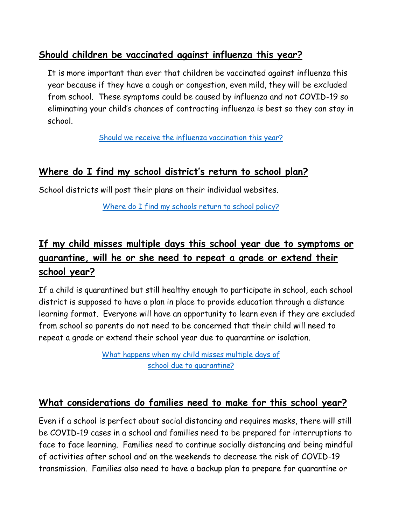### **Should children be vaccinated against influenza this year?**

It is more important than ever that children be vaccinated against influenza this year because if they have a cough or congestion, even mild, they will be excluded from school. These symptoms could be caused by influenza and not COVID-19 so eliminating your child's chances of contracting influenza is best so they can stay in school.

[Should we receive the influenza vaccination this year?](https://www.youtube.com/watch?v=ngy5voh8PnY)

### **Where do I find my school district's return to school plan?**

School districts will post their plans on their individual websites.

[Where do I find my schools return to school policy?](https://www.youtube.com/watch?v=u_qu-4WL8ec)

# **If my child misses multiple days this school year due to symptoms or quarantine, will he or she need to repeat a grade or extend their school year?**

If a child is quarantined but still healthy enough to participate in school, each school district is supposed to have a plan in place to provide education through a distance learning format. Everyone will have an opportunity to learn even if they are excluded from school so parents do not need to be concerned that their child will need to repeat a grade or extend their school year due to quarantine or isolation.

> [What happens when my child misses multiple days of](https://www.youtube.com/watch?v=nWOjwqY2yiA)  [school due to quarantine?](https://www.youtube.com/watch?v=nWOjwqY2yiA)

#### **What considerations do families need to make for this school year?**

Even if a school is perfect about social distancing and requires masks, there will still be COVID-19 cases in a school and families need to be prepared for interruptions to face to face learning. Families need to continue socially distancing and being mindful of activities after school and on the weekends to decrease the risk of COVID-19 transmission. Families also need to have a backup plan to prepare for quarantine or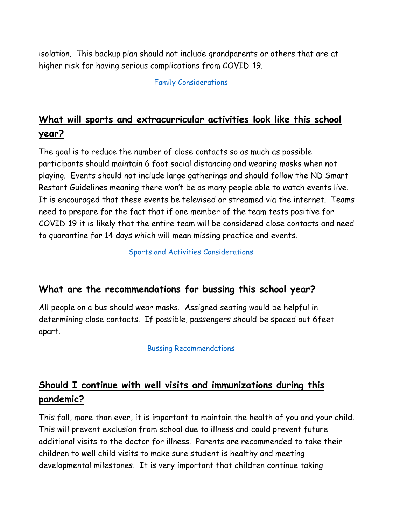isolation. This backup plan should not include grandparents or others that are at higher risk for having serious complications from COVID-19.

[Family Considerations](https://www.youtube.com/watch?v=FsoPNXD39Zk)

# **What will sports and extracurricular activities look like this school year?**

The goal is to reduce the number of close contacts so as much as possible participants should maintain 6 foot social distancing and wearing masks when not playing. Events should not include large gatherings and should follow the ND Smart Restart Guidelines meaning there won't be as many people able to watch events live. It is encouraged that these events be televised or streamed via the internet. Teams need to prepare for the fact that if one member of the team tests positive for COVID-19 it is likely that the entire team will be considered close contacts and need to quarantine for 14 days which will mean missing practice and events.

[Sports and Activities Considerations](https://www.youtube.com/watch?v=AGic7gwyey8)

#### **What are the recommendations for bussing this school year?**

All people on a bus should wear masks. Assigned seating would be helpful in determining close contacts. If possible, passengers should be spaced out 6feet apart.

[Bussing Recommendations](https://www.youtube.com/watch?v=2JAT4dyg3ZY)

# **Should I continue with well visits and immunizations during this pandemic?**

This fall, more than ever, it is important to maintain the health of you and your child. This will prevent exclusion from school due to illness and could prevent future additional visits to the doctor for illness. Parents are recommended to take their children to well child visits to make sure student is healthy and meeting developmental milestones. It is very important that children continue taking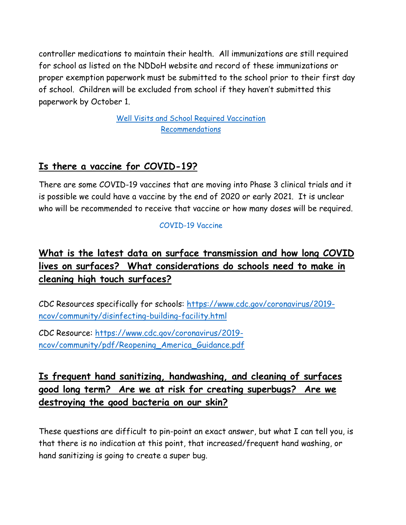controller medications to maintain their health. All immunizations are still required for school as listed on the NDDoH website and record of these immunizations or proper exemption paperwork must be submitted to the school prior to their first day of school. Children will be excluded from school if they haven't submitted this paperwork by October 1.

> [Well Visits and School Required Vaccination](https://www.youtube.com/watch?v=pSjZamzzDH8)  [Recommendations](https://www.youtube.com/watch?v=pSjZamzzDH8)

### **Is there a vaccine for COVID-19?**

There are some COVID-19 vaccines that are moving into Phase 3 clinical trials and it is possible we could have a vaccine by the end of 2020 or early 2021. It is unclear who will be recommended to receive that vaccine or how many doses will be required.

#### [COVID-19 Vaccine](https://www.youtube.com/watch?v=iiDrz8RFdhA)

### **What is the latest data on surface transmission and how long COVID lives on surfaces? What considerations do schools need to make in cleaning high touch surfaces?**

CDC Resources specifically for schools: [https://www.cdc.gov/coronavirus/2019](https://www.cdc.gov/coronavirus/2019-ncov/community/disinfecting-building-facility.html) [ncov/community/disinfecting-building-facility.html](https://www.cdc.gov/coronavirus/2019-ncov/community/disinfecting-building-facility.html)

CDC Resource: [https://www.cdc.gov/coronavirus/2019](https://www.cdc.gov/coronavirus/2019-ncov/community/pdf/Reopening_America_Guidance.pdf) [ncov/community/pdf/Reopening\\_America\\_Guidance.pdf](https://www.cdc.gov/coronavirus/2019-ncov/community/pdf/Reopening_America_Guidance.pdf)

### **Is frequent hand sanitizing, handwashing, and cleaning of surfaces good long term? Are we at risk for creating superbugs? Are we destroying the good bacteria on our skin?**

These questions are difficult to pin-point an exact answer, but what I can tell you, is that there is no indication at this point, that increased/frequent hand washing, or hand sanitizing is going to create a super bug.